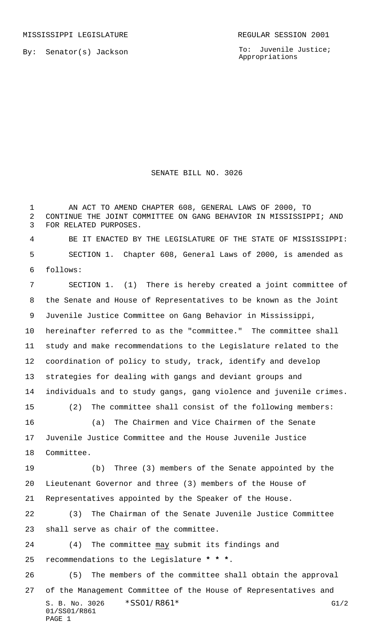By: Senator(s) Jackson

01/SS01/R861

PAGE 1

To: Juvenile Justice; Appropriations

## SENATE BILL NO. 3026

 AN ACT TO AMEND CHAPTER 608, GENERAL LAWS OF 2000, TO CONTINUE THE JOINT COMMITTEE ON GANG BEHAVIOR IN MISSISSIPPI; AND FOR RELATED PURPOSES.

 BE IT ENACTED BY THE LEGISLATURE OF THE STATE OF MISSISSIPPI: SECTION 1. Chapter 608, General Laws of 2000, is amended as follows:

S. B. No. 3026 \* SSO1/R861\* G1/2 SECTION 1. (1) There is hereby created a joint committee of the Senate and House of Representatives to be known as the Joint Juvenile Justice Committee on Gang Behavior in Mississippi, hereinafter referred to as the "committee." The committee shall study and make recommendations to the Legislature related to the coordination of policy to study, track, identify and develop strategies for dealing with gangs and deviant groups and individuals and to study gangs, gang violence and juvenile crimes. (2) The committee shall consist of the following members: (a) The Chairmen and Vice Chairmen of the Senate Juvenile Justice Committee and the House Juvenile Justice Committee. (b) Three (3) members of the Senate appointed by the Lieutenant Governor and three (3) members of the House of Representatives appointed by the Speaker of the House. (3) The Chairman of the Senate Juvenile Justice Committee shall serve as chair of the committee. (4) The committee may submit its findings and recommendations to the Legislature **\* \* \***. (5) The members of the committee shall obtain the approval of the Management Committee of the House of Representatives and